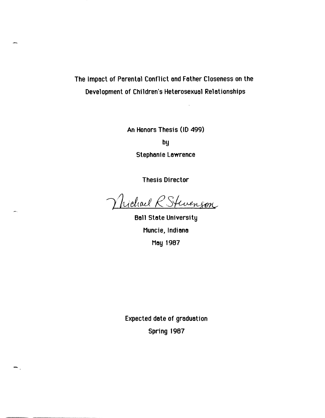# The Impact of Parental Confllct and Father Closeness on the Deyelopment of Children's Heterosexual Relationships

An Honors Thesis (10 499)

by

Stephanie Lawrence

Thesis Director

Wichael R Stevenson

Ball State University Muncie, Indiana May 1987

Expected dote of graduation Spring 1987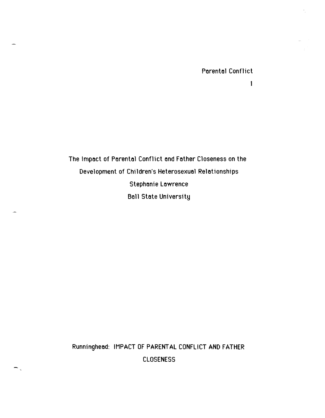$\mathbf{1}$ 

The Impact of Parental Conflict and Father Closeness on the Development of Children's Heterosexual Relationships **Stephanie Lawrence Ball State University** 

Runninghead: IMPACT OF PARENTAL CONFLICT AND FATHER

**CLOSENESS**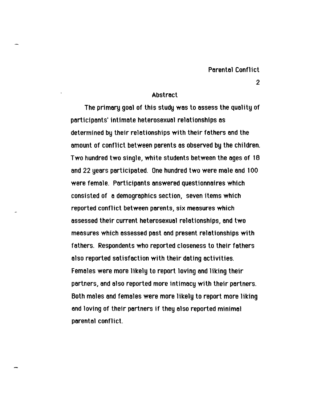## Abstroct

The primory gool of this study wos to ossess the quolity of porticiponts' intimote heterosexual relotionships as determined by their relotionships with their fothers ond the omount of conflict between porents os observed by the children. Two hundred two single, white students between the oges of 18 and 22 years participated. One hundred two were male and 100 were femole. Porticiponts onswered questionnoires which consisted of a demographics section, seven items which reported conflict between porents, six meosures which ossessed their current heterosexuol relotionships, ond two measures which assessed past and present relationships with fothers. Respondents who reported closeness to their fothers olso reported sotisfoction with their doting octivities. Females were more likely to report loving and liking their portners, ond olso reported more intimocy with their portners. Both males and females were more likely to report more liking and loving of their partners if they also reported minimal porento1 conflict.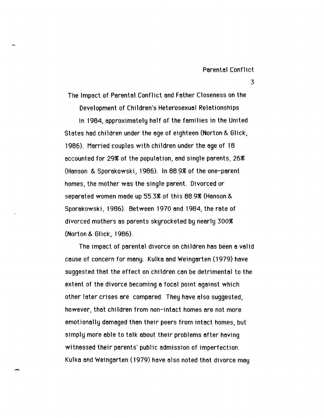3

The Impact of Parental Conflict and Father Closeness on the

Development of Children's Heterosexual Relationships

In 1984, approximately half of the families in the United Stotes had children under the age of eighteen (Norton & Gllck, 1986). Married couples with children under the age of 18 accounted for 29% of the population, and single parents, 26% (Hanson & Sporakowski, 1986). In 88.9% of the one-parent homes, the mother was the single parent. Divorced or separated women made up 55.3% of this 88.9% (Hanson & Sporakowski, 1986). Between 1970 and 1984, the rate of divorced mothers as parents skyrocketed by nearly 300~ (Norton & Glick, 1986).

The impact of parental divorce on children has been a valid cause of concern for many. Kulka and Weingarten (1979) have suggested that the effect on chtldren can be detrimental to the extent of the divorce becoming a focal point against which other later crises are compared. They have also suggested, however, that children from non-intact homes are not more emotionally damaged than their peers from intact homes, but simply more able to talk about their problems after having witnessed their parents' public admission of imperfection. Kulka and Weingarten (1979) have also noted that divorce may

,-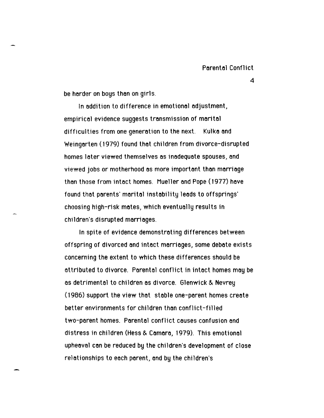be harder on boys than on girls.

In addition to difference in emotional adjustment, empirical evidence suggests transmission of marital difficulties from one generation to the next. Kulka and Weingarten (1979) found that children from divorce-disrupted homes later viewed themselves as inadequate spouses, and viewed jobs or motherhood as more important than marriage thon those from intact homes. Mueller and Pope (1977) have found that parents' marital instability leads to offsprings' choosing high-risk mates, which eventually results in children's disrupted marriages.

In spite of evidence demonstroting differences between offspring of divorced and intact marriages, some debate exists concerning the extent to which these differences should be attributed to divorce. Parental conflict in intact homes may be as detrimental to children as divorce. Glenwick & Nevrey (1986) support the view that stable one-parent homes create better environments for children than conflict-filled two-parent homes. Parental conflict causes confusion and distress in children (Hess & Cornaro, 1979). This emotionol upheoval con be reduced by the children's development of close relationships to eoch porent, ond by the children's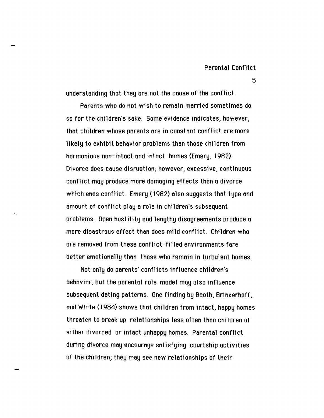understonding thot they ore not the couse of the conflict.

Porents who do not wish to remoin morried sometimes do so for the children's soke. Some evidence indicotes, however, that children whose parents are in constant conflict are more likely to exhibit behovior problems thon those children from harmonious non-intoct ond intoct homes (Emery, 1982). Divorce does cause disruption; however, excessive, continuous conflict may produce more damaging effects than a divorce which ends conflict. Emery (1982) olso suggests thot type ond omount of conflict ploy 6 role in children's subsequent problems. Open hostility and lengthy disagreements produce a more disostrous effect thon does mild conflict. Children who ore removed from these conflict-filled environments fore better emotionolly thon those who remoin in turbulent homes.

Not only do porents' conflicts influence children's behovior, but the porentol role-model moy olso influence subsequent doting potterns. One finding by Booth, Brinkerhoff, ond White (1984) shows thot chlldren from intoct, hoppy homes threoten to breok up relotionships less often thon children of either divorced or intoct unhoppy homes. Porentol conflict during divorce may encourage satisfying courtship activities of the children; they moy see new relotionships of their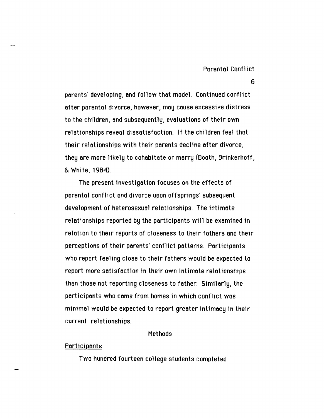parents' developing, and follow that model. Continued conflict ofter parental divorce, however, may cause excessive distress to the children, and subsequently, evaluations of their own relationships reveal dissatisfaction. If the children feel that their relationships with their parents decline after divorce, they are more likely to cohabitate or marry (Booth, Brinkerhoff, & White, 1984).

The present investigation focuses on the effects of parental conflict and divorce upon offsprings' subsequent development of heterosexual relationships. The intimate relationships reported by the participants will be examined in relation to their reports of closeness to their fathers and their perceptions of their parents' conflict patterns. Participants who report feeling close to their fathers would be expected to report more satisfaction in their own intimate relationships than those not reporting closeness to father. Similarly, the participants who came from homes in which conflict was minimal would be expected to report greater intimacy in their current relationships.

#### **Methods**

#### <u>Participants</u>

Two hundred fourteen college students completed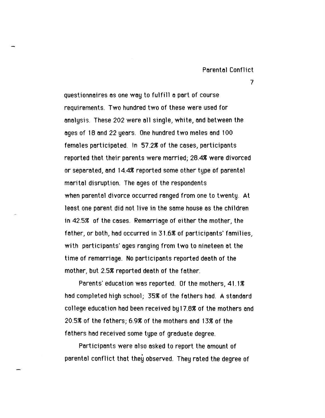questionnaires as one way to fulfill a part of course requirements. Two hundred two of these were used for onolysi:3. These 202 were 011 single, white, ond between the oges of 18 ond 22 yeors. One hundred two moles ond 100 femoles porticipoted. In 57.2% of the coses, porticiponts reported that their parents were married; 28.4% were divorced or seporoted, ond 14.4~ reported some other type of porentol moritol disruption. The oges of the respondents when parental divorce occurred ranged from one to twenty. At least one porent did not live in the some house os the children in 42.5% of the cases. Remarriage of either the mother, the father, or both, had occurred in 31.6% of participants' families, with participants' ages ranging from two to nineteen at the time of remarriage. No participants reported death of the mother, but 2.5% reported death of the father.

Parents' education was reported. Of the mothers,  $41.1%$ hod completed high school; 35% of the fothers hod. A stondord college educotion hod been received by 17.8~ of the mothers ond 20.5~ of the fothers; 6.9~ of the mothers ond 13~ of the fothers hod received some type of groduote degree.

Porticiponts were olso osked to report the omount of porentol conflict that they observed. They rated the degree of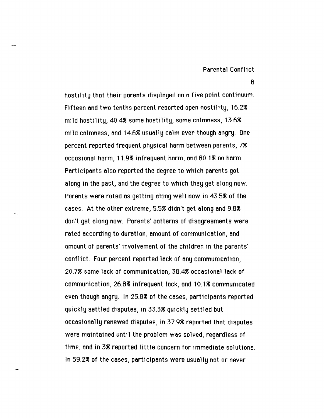8

hostility that their parents displayed on a five point continuum. Fifteen and two tenths percent reported open hostility, 16.2% mild hostility,  $40.4\%$  some hostility, some calmness, 13.6 $\%$ mlld calmness, and 14.6% usually calm even though angry. One percent reported frequent physical harm between parents, 7% occasional harm, 11.9% infrequent harm, and 80.1 % no harm. Participants also reported the degree to which parents got along in the past, and the degree to which they get along now. Parents were rated as getting along well now in 43.5% of the cases. At the other extreme, 5.5% didn't get along and 9.8% don't get along now. Parents' patterns of disagreements were rated according to duration, amount of communication, and amount of parents' involvement of the children in the parents' conflict. Four percent reported lack of any communication, 20.7% some lack of communication, 38.4% occasional lack of communication, 26.8% infrequent lack, and 10.1 % communicated even though angry. In 25.8% of the cases, participants reported quickly settled disputes, in 33.3% quickly settled but occasionally renewed disputes, in 37.9% reported that disputes were maintained until the problem was solved, regardless of time, and in 3% reported little concern for immediate solutions. In 59.2% of the cases, participants were usually not or never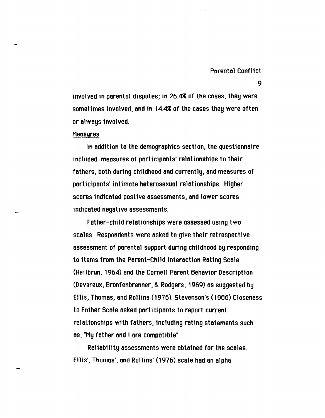9

involved in parental disputes; in 26.4% of the cases, they were sometimes involved, and in 14.4% of the cases they were often or always involved.

#### **Measures**

In addition to the demographics section, the questionnaire included measures of participants' relationships to their fathers, both during childhood and currently, and measures of participants' intimate heterosexual relationships. Higher scores indicated postive assessments, and lower scores indicated negative assessments.

Father-child relationships were assessed using two scales. Respondents were asked to give their retrospective assessment of parental support during childhood by responding to items from the Parent-Child Interaction Roting Scale (Heilbrun, 1964) and the Cornell Porent Behavior Description (Devereux~ Bronfenbrenner~ &. Rodgers, 1969) as suggested by Ellis, Thomas, and Rollins (1976). Stevenson's (1986) Closeness to Father Scale asked participants to report current relationships with fathers, including rating statements such as, "My father and I are compatible".

Reliability assessments were obtained for the scales. Ellis', Thomas', and Rollins' (1976) scale had an alpha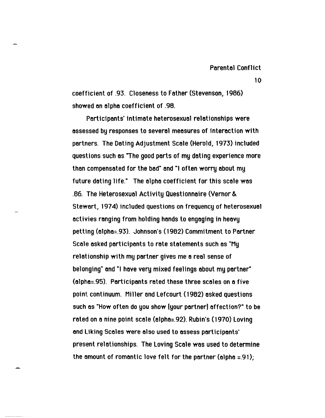coefficient of .93. Closeness to Father (Stevenson, 1986) showed on olpho coefficient of .98.

Participants' intimate heterosexual relationships were assessed by responses to several measures of interaction with partners. The Dating Adjustment Scale (Herold, 1973) included questions such as "The good parts of my dating experience more than compensated for the bad" and "I often worry about my future dating life." The alpha coefficient for this scale was .66. The Heterosexual Activity Questionnaire (Vernor &. Stewart, 1974) included questions on frequency of heterosexual activies ranging from holding hands to engaging in heavy petting (01pho=.93). Johnson's (1982) Commitment to Portner Scole osked porticiponts to rote stotements such as "My relotionship with my portner gives me 8 reol sense of belonging" and "I have very mixed feelings about my partner" (01pho=.95). Portlciponts roted these three scoles on 0 five point continuum. Miller 8nd lefcourt (1962) asked questions such as "How often do you show [your partner] affection?" to be rated on a nine point scale (alpha=.92). Rubin's (1970) Loving ond Liking Scoles were olso used to ossess porticiponts' present relationships. The Loving Scale was used to determine the amount of romantic love felt for the partner (alpha  $\pm$ .91);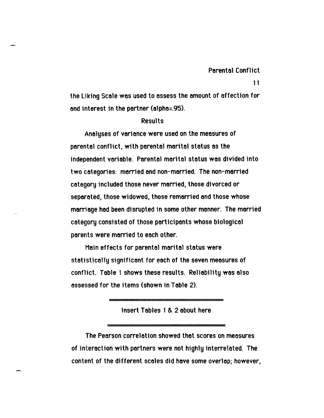the Liking Scale was used to assess the amount of affection for and interest in the portner (alpha=.95).

### Results

Analyses of variance were used on the measures of parental conflict, with parental marital status as the independent variable. Parental marital status was divided into two categories: married and non-married. The non-married category included those never married, those divorced or separated, those widowed, those remarried and those whose marriage had been disrupted in some other manner. The married category consisted of those participants whose biological parents were married to each other.

Main effects for parental marital status were statistically significant for each of the seven measures of conflict. Table 1 shows these results. Reliability was also assessed for the items (shown in Table 2).

Insert Tables 1 & 2 about here

The Pearson correlation showed that scores on measures of interaction with partners were not highly interrelated. The content of the different scales did have some overlap; however,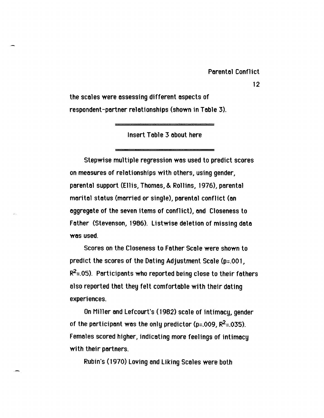the scales were assessing different aspects of respondent-partner relationships (shown in Table 3).

Insert Table 3 about here

Stepwise multiple regression was used to predict scores on measures of relationships with others, using gender, parental support (Ellis, Thomas, & Rollins, 1976), parental marital status (married or single), parental conflict (an aggregate of the seven items of conflict), and Closeness to Father (Stevenson, 1966). listwise deletion of missing data was used.

Scores on the Closeness to Father Scale were shown to prediet the scores of the Dating Adjustment Scale (p=.OO 1,  $R^2$ =.05). Participants who reported being close to their fathers also reported that they felt comfortable with their dating experi ences.

On Miller and Lefcourt's (1982) scale of intimacy, gender of the participant was the only predictor (p=.009,  $R^2$ =.035). Females scored higher, indicating more feelings of intimacy with their partners.

Rubin's (1970) Loving and Liking Scales were both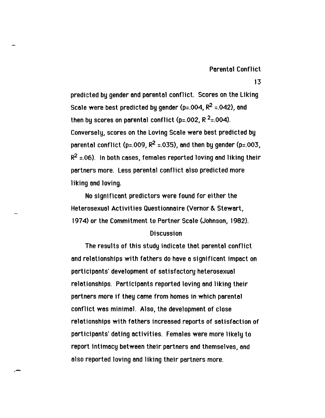predicted by gender and parental conflict. Scores on the Liking Scale were best predicted by gender (p=.004,  $R^2$  =.042), and then by scores on parental conflict (p=.002, R<sup>2</sup>=.004). Conversely, scores on the Loving Scale were best predicted by parental conflict (p=.009,  $R^2$  =.035), and then by gender (p=.003,  $R^2$  =.06). In both cases, females reported loving and liking their partners more. Less parentol conflict also predicted more liking and loving.

No significant predictors were found for either the Heterosexual Activities Questionnaire (Vernor & Stewart, 1974) or the Commitment to Partner Scale (Johnson, 1982).

## **Discussion**

The results of this study indicate that parental conflict and relationships with fathers do have a significant impact on participants' development of satisfactory heterosexual relationships. Participants reported loving and liking their partners more if they came from homes in which parental confllct was minimal. Also, the development of close relationships with fathers increased reports of satisfaction of participants' dating activities. Females were more likely to report intimacy between their partners and themselves, and also reported loving and liking their partners more.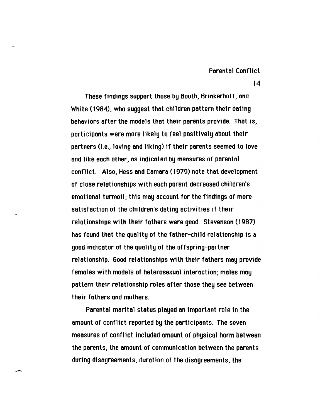These findings support those by Booth, Brinkerhoff, and White (1984). who suggest that children pattern their dating behaviors after the models that their parents provide. That is, participants were more likely to feel positively about their partners (i.e., loving and liking) if their parents seemed to love and like each other, as indicated by measures of parental conflict. Also, Hess and Camara (1979) note that development of close relationships with each parent decreased children's emotional turmoil; this may account for the findings of more satisfaction of the children's dating activities if their relationships with their fathers were good. Stevenson (1987) has found that the quality of the father-child relationship is a good indicator of the quality of the offspring-partner relationship. Good relationships with their fathers may provide females with models of heterosexual interaction; males may pattern their relationship roles after those they see between their fathers and mothers.

Parental marital status played an important role in the amount of conflict reported by the participants. The seven measures of conflict included amount of physical harm between the parents, the amount of communication between the parents during disagreements, duration of the disagreements, the

-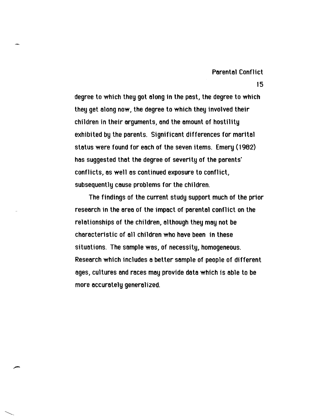degree to which they got along in the past, the degree to which they get along now, the degree to which they involved their children in their arguments, and the amount of hostility exhibited by the parents. Significant differences for marital status were found for each of the seven items. Emery (1982) has suggested that the degree of severity of the parents' conflicts, as well as continued exposure to conflict, subsequently cause problems for the children.

The findings of the current study support much of the prior research in the area of the impoct of parental conflict on the relationships of the children, although they may not be characteristic of all children who have been in these situations. The sample was, of necessity, homogeneous. Research which includes a better sample of people of different ages, cultures and races may provide data which is able to be more occurately generalized.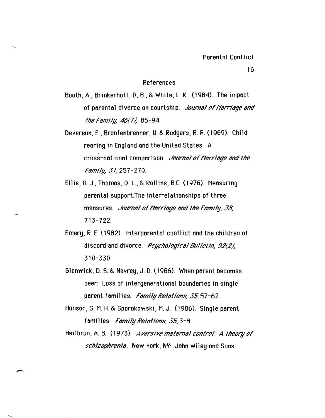#### References

- Booth, A., Brinkerhoff, D, B., & White, L. K. (1984). The impoct of parental divorce on courtship. *Journal of Marriage and* the Family,  $46(1)$ . 85-94.
- Devereux, E., Bronfenbrenner, U. & Rodgers, R. R. (1969). Child rearing in England and the United States: A cross-notional comporison. *Journal of Marriage and the* Family, 31, 257-270.
- Ellis, G. J., Thomos, D. L., & Rollins, B.C. (1976). Meosuring parental support:The interrelationships of three measures. *Journal of Marriage and the Family*, 38, 713-722.
- Emery, R. E. (1982). Interporento1 conflict ond the children of discord and divorce. Psychological Bulletin, 92(2). 310-330.
- Glenwick, D. S. & Nevrey, J. D. (1986). When parent becomes peer: Loss of intergenerotionol boundories in single parent families. Family Relations, 35, 57-62.
- Honson, S. M. H. & Sporokowski, M. J. (1986). Single porent fomilies. Family Relations, 35, 3-8.
- Heilbrun, A. B. (1973). Aversive maternal control: A theory of schizophrenia. New York, NY: John Wiley and Sons.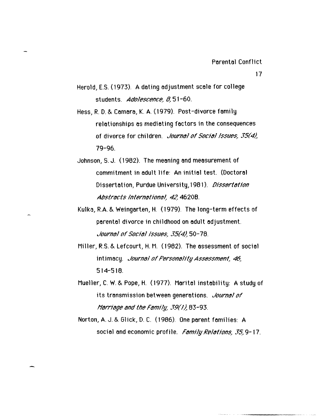- Herold, E.S. (1973). A dating adjustment scale for college students. Adalescence, 8,51-60.
- Hess, R. D. & Camara, K. A. (1979). Post-divorce family relationships as mediating factors in the consequences of divorce for children. *Journal of Social Issues*, 35(4). 79-96.
- Johnson, S. J. (1962). The meaning and measurement of commitment in adult 11fe: An initio1 test. (Doctorol Dissertation, Purdue University, 1981). Dissertation Abstracts International, 42,4620B.
- Kulka, R.A. & Weingarten, H. (1979). The long-term effects of parental divorce in childhood on adult adjustment. Jaurnal af Sacial Issues, 35(4).50-78.
- Miller, R.S. & Lefcourt, H. M. (1982). The assessment of social intimacy. *Journal of Personality Assessment*, 46, 514-518.
- Mueller, C. W. & Pope, H. (1977). Marital instability: A study of its transmission between generations. *Journal of* Marriage and the Family, 39(1),  $83$ -93.
- Norton, A. J. & Glick, D. C. (1966). One parent families: A social and economic profile. Family Relations, 35,9-17.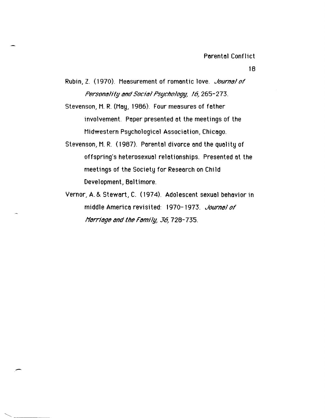- Rubin, Z. (1970). Measurement of romantic love. *Journal of* Personality and Social Psychology, 16, 265-273.
- Stevenson, M. R. (May, 1986). Four measures of father involvement. Paper presented at the meetings of the Midwestern Psychological Association, Chicago.
- Stevenson, M. R. (1987). Parental divorce and the quality of offspring's heterosexual relationships. Presented at the meetings of the Society for Research on Child Development, Baltimore.
- Vernor, A. & Stewart, C. (1974). Adolescent sexual behavior in middle America revisited: 1970-1973. Journal of Marriage and the Family, 36, 728-735.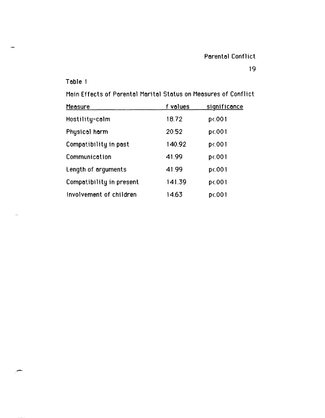## 19

## Table 1

Main Effects of Parental Marital Status on Measures of Conflict

| <b>Measure</b>           | f values | significance |
|--------------------------|----------|--------------|
| Hostility-calm           | 18.72    | $p$ <.001    |
| Physical harm            | 20.52    | p<.001       |
| Compatibility in past    | 140.92   | p<.001       |
| Communication            | 41.99    | p<.001       |
| Length of arguments      | 41.99    | p<.001       |
| Compatibility in present | 141.39   | p<.001       |
| Involvement of children  | 14.63    | p<.001       |

 $\overline{\phantom{0}}$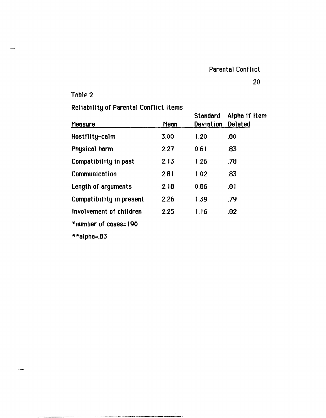20

Table 2

# Rellability of Parental Conflict Items

| . <u>.</u> .<br><b>Measure</b> | Mean | Standard<br><b>Deviation</b> | Alpha if Item<br><b>Deleted</b> |
|--------------------------------|------|------------------------------|---------------------------------|
| Hostility-calm                 | 3.00 | 1.20                         | .80                             |
| Physical harm                  | 2.27 | 0.61                         | .83                             |
| Compatibility in past          | 2.13 | 1.26                         | .78                             |
| Communication                  | 2.81 | 1.02                         | .83                             |
| Length of arguments            | 2.18 | 0.86                         | .81                             |
| Compatibility in present       | 2.26 | 1.39                         | .79                             |
| Involvement of children        | 2.25 | 1.16                         | .82                             |
| *number of cases=190           |      |                              |                                 |

 $**$ alpha=.83

وبريز